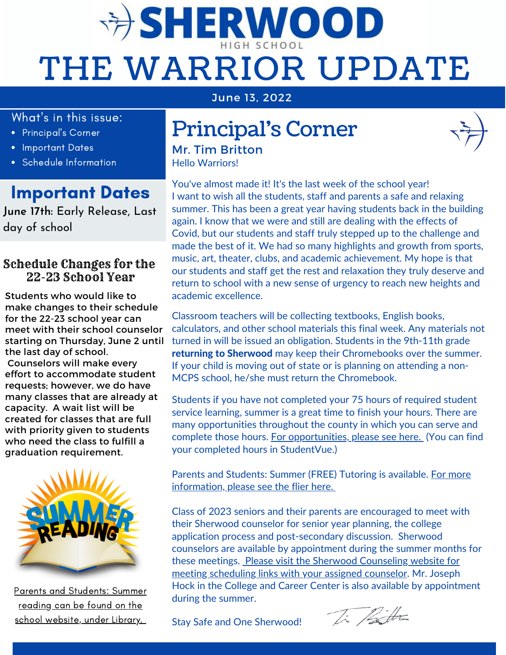# **DERWOOD** THE WARRIOR UPDATE

June 13, 2022

#### What's in this issue:

- Principal's Corner
- Important Dates
- Schedule Information

### Important Dates

**June 17th:** Early Release, Last day of school

#### Schedule Changes for the 22-23 School Year

Students who would like to make changes to their schedule for the 22-23 school year can meet with their school counselor starting on Thursday, June 2 until the last day of school.

Counselors will make every effort to accommodate student requests; however, we do have many classes that are already at capacity. A wait list will be created for classes that are full with priority given to students who need the class to fulfill a graduation requirement.



Parents and [Students:](https://docs.google.com/presentation/d/1Bnd3oXEXR5NQNyUjEhPnKryxQDxQ8TniOe-EMefr4EU/edit#slide=id.gde2935cc9a_0_20) Summer reading can be found on the school website, under Library[.](https://docs.google.com/presentation/d/1Bnd3oXEXR5NQNyUjEhPnKryxQDxQ8TniOe-EMefr4EU/edit#slide=id.gde2935cc9a_0_20)

## Principal's Corner

Hello Warriors! Mr. Tim Britton

You've almost made it! It's the last week of the school year! I want to wish all the students, staff and parents a safe and relaxing summer. This has been a great year having students back in the building again. I know that we were and still are dealing with the effects of Covid, but our students and staff truly stepped up to the challenge and made the best of it. We had so many highlights and growth from sports, music, art, theater, clubs, and academic achievement. My hope is that our students and staff get the rest and relaxation they truly deserve and return to school with a new sense of urgency to reach new heights and academic excellence.

Classroom teachers will be collecting textbooks, English books, calculators, and other school materials this final week. Any materials not turned in will be issued an obligation. Students in the 9th-11th grade returning to Sherwood may keep their Chromebooks over the summer. If your child is moving out of state or is planning on attending a non-MCPS school, he/she must return the Chromebook.

Students if you have not completed your 75 hours of required student service learning, summer is a great time to finish your hours. There are many opportunities throughout the county in which you can serve and complete those hours. For [opportunities,](https://www.montgomerycountymd.gov/volunteercenter/volunteers/SSL.html) please see here. (You can find your completed hours in StudentVue.)

Parents and Students: Summer (FREE) Tutoring is available. For more [information,](https://drive.google.com/file/d/1PA0s8teaFN4ypan4iPehAtdu3ru20S35/view?usp=sharing) please see the flier here[.](https://drive.google.com/file/d/1PA0s8teaFN4ypan4iPehAtdu3ru20S35/view?usp=sharing)

Class of 2023 seniors and their parents are encouraged to meet with their Sherwood counselor for senior year planning, the college application process and post-secondary discussion. Sherwood counselors are available by appointment during the summer months for these meetings. [P](https://www2.montgomeryschoolsmd.org/schools/sherwoodhs/counseling/)lease visit the Sherwood [Counseling](https://www2.montgomeryschoolsmd.org/schools/sherwoodhs/counseling/) website for meeting scheduling links with your assigned counselor. Mr. Joseph Hock in the College and Career Center is also available by appointment during the summer.

Stay Safe and One Sherwood!

Ti Patta